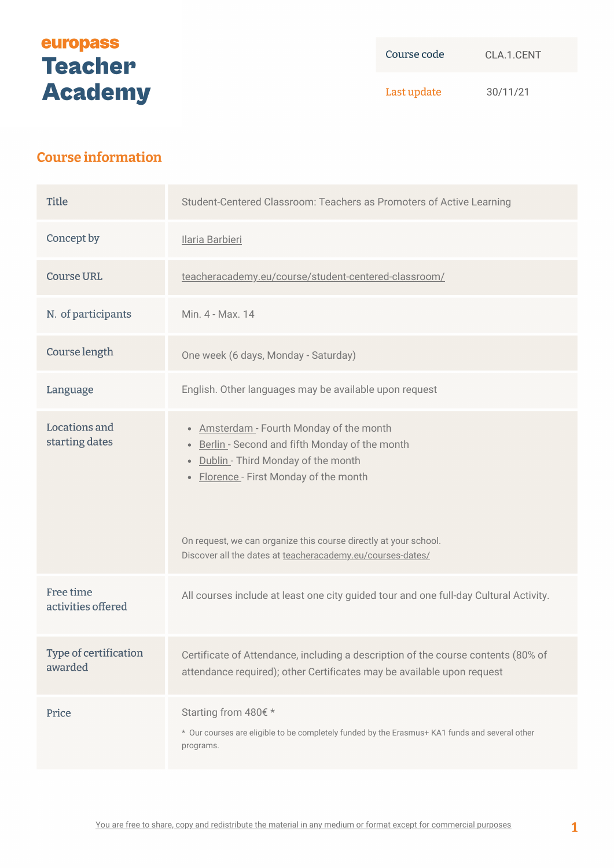# europass **Teacher Academy**

Course code CLA.1.CENT

Last update 30/11/21

# **Course information**

| <b>Title</b>                     | Student-Centered Classroom: Teachers as Promoters of Active Learning                                                                                                                                                                                                                                            |
|----------------------------------|-----------------------------------------------------------------------------------------------------------------------------------------------------------------------------------------------------------------------------------------------------------------------------------------------------------------|
| Concept by                       | Ilaria Barbieri                                                                                                                                                                                                                                                                                                 |
| <b>Course URL</b>                | teacheracademy.eu/course/student-centered-classroom/                                                                                                                                                                                                                                                            |
| N. of participants               | Min. 4 - Max. 14                                                                                                                                                                                                                                                                                                |
| Course length                    | One week (6 days, Monday - Saturday)                                                                                                                                                                                                                                                                            |
| Language                         | English. Other languages may be available upon request                                                                                                                                                                                                                                                          |
| Locations and<br>starting dates  | • Amsterdam - Fourth Monday of the month<br>• Berlin - Second and fifth Monday of the month<br>• Dublin - Third Monday of the month<br>• Florence - First Monday of the month<br>On request, we can organize this course directly at your school.<br>Discover all the dates at teacheracademy.eu/courses-dates/ |
| Free time<br>activities offered  | All courses include at least one city guided tour and one full-day Cultural Activity.                                                                                                                                                                                                                           |
| Type of certification<br>awarded | Certificate of Attendance, including a description of the course contents (80% of<br>attendance required); other Certificates may be available upon request                                                                                                                                                     |
| Price                            | Starting from 480€ *<br>* Our courses are eligible to be completely funded by the Erasmus+ KA1 funds and several other<br>programs.                                                                                                                                                                             |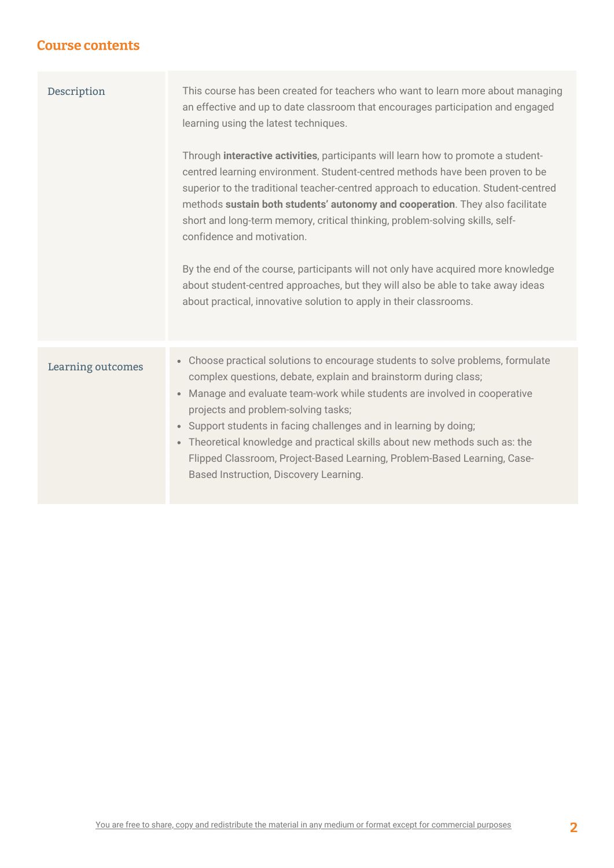#### **Course contents**

| Description       | This course has been created for teachers who want to learn more about managing<br>an effective and up to date classroom that encourages participation and engaged<br>learning using the latest techniques.<br>Through interactive activities, participants will learn how to promote a student-<br>centred learning environment. Student-centred methods have been proven to be<br>superior to the traditional teacher-centred approach to education. Student-centred<br>methods sustain both students' autonomy and cooperation. They also facilitate<br>short and long-term memory, critical thinking, problem-solving skills, self-<br>confidence and motivation.<br>By the end of the course, participants will not only have acquired more knowledge<br>about student-centred approaches, but they will also be able to take away ideas<br>about practical, innovative solution to apply in their classrooms. |
|-------------------|---------------------------------------------------------------------------------------------------------------------------------------------------------------------------------------------------------------------------------------------------------------------------------------------------------------------------------------------------------------------------------------------------------------------------------------------------------------------------------------------------------------------------------------------------------------------------------------------------------------------------------------------------------------------------------------------------------------------------------------------------------------------------------------------------------------------------------------------------------------------------------------------------------------------|
| Learning outcomes | • Choose practical solutions to encourage students to solve problems, formulate<br>complex questions, debate, explain and brainstorm during class;<br>Manage and evaluate team-work while students are involved in cooperative<br>$\bullet$<br>projects and problem-solving tasks;<br>Support students in facing challenges and in learning by doing;<br>$\bullet$<br>• Theoretical knowledge and practical skills about new methods such as: the<br>Flipped Classroom, Project-Based Learning, Problem-Based Learning, Case-<br>Based Instruction, Discovery Learning.                                                                                                                                                                                                                                                                                                                                             |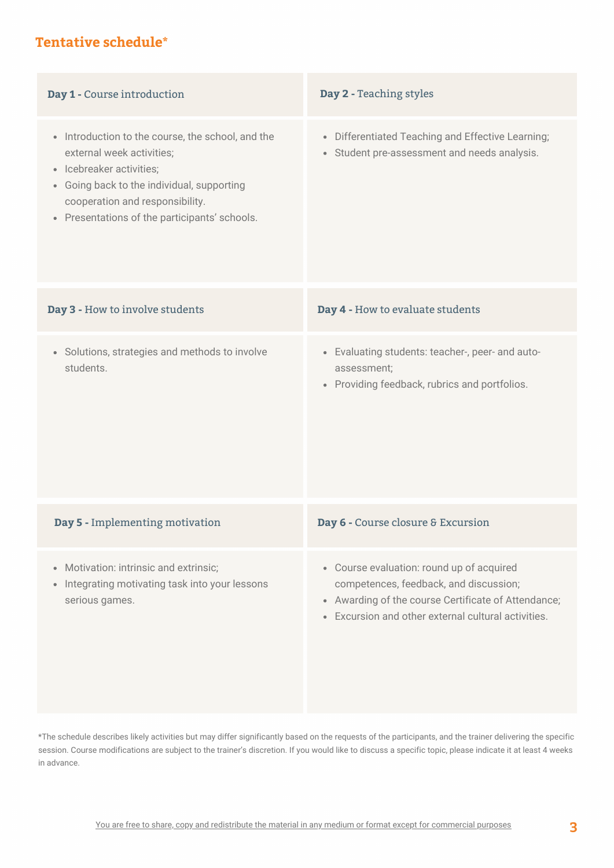# **Tentative schedule\***

| Day 1 - Course introduction                                                                                                                                                                                                                             | Day 2 - Teaching styles                                                                                                                                                                           |
|---------------------------------------------------------------------------------------------------------------------------------------------------------------------------------------------------------------------------------------------------------|---------------------------------------------------------------------------------------------------------------------------------------------------------------------------------------------------|
| • Introduction to the course, the school, and the<br>external week activities;<br>Icebreaker activities;<br>$\bullet$<br>• Going back to the individual, supporting<br>cooperation and responsibility.<br>• Presentations of the participants' schools. | • Differentiated Teaching and Effective Learning;<br>• Student pre-assessment and needs analysis.                                                                                                 |
| Day 3 - How to involve students                                                                                                                                                                                                                         | Day 4 - How to evaluate students                                                                                                                                                                  |
| • Solutions, strategies and methods to involve<br>students.                                                                                                                                                                                             | • Evaluating students: teacher-, peer- and auto-<br>assessment;<br>• Providing feedback, rubrics and portfolios.                                                                                  |
| Day 5 - Implementing motivation                                                                                                                                                                                                                         | Day 6 - Course closure & Excursion                                                                                                                                                                |
| • Motivation: intrinsic and extrinsic;<br>Integrating motivating task into your lessons<br>$\bullet$<br>serious games.                                                                                                                                  | • Course evaluation: round up of acquired<br>competences, feedback, and discussion;<br>• Awarding of the course Certificate of Attendance;<br>• Excursion and other external cultural activities. |

\*The schedule describes likely activities but may differ significantly based on the requests of the participants, and the trainer delivering the specific session. Course modifications are subject to the trainer's discretion. If you would like to discuss a specific topic, please indicate it at least 4 weeks in advance.